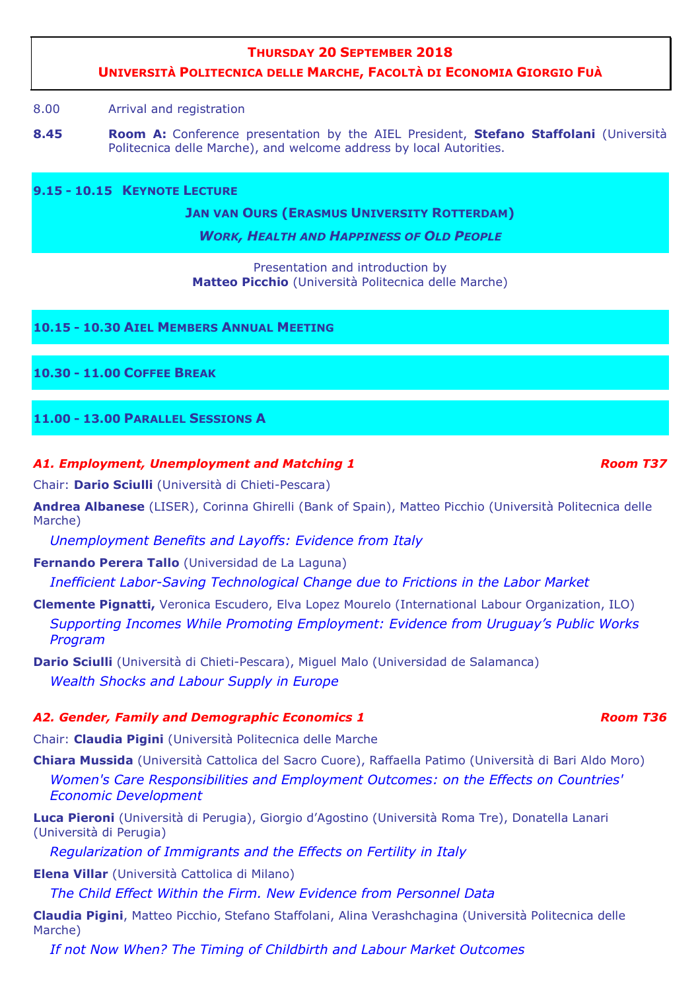## **THURSDAY 20 SEPTEMBER 2018**

# **UNIVERSITÀ POLITECNICA DELLE MARCHE, FACOLTÀ DI ECONOMIA GIORGIO FUÀ**

#### 8.00 Arrival and registration

**8.45 Room A:** Conference presentation by the AIEL President, **Stefano Staffolani** (Università Politecnica delle Marche), and welcome address by local Autorities.

**9.15 - 10.15 KEYNOTE LECTURE R**

**JAN VAN OURS (ERASMUS UNIVERSITY ROTTERDAM)** 

*WORK, HEALTH AND HAPPINESS OF OLD PEOPLE*

Presentation and introduction by **Matteo Picchio** (Università Politecnica delle Marche)

### **10.15 - 10.30 AIEL MEMBERS ANNUAL MEETING**

### **10.30 - 11.00 COFFEE BREAK**

# **11.00 - 13.00 PARALLEL SESSIONS A**

### *A1. Employment, Unemployment and Matching 1*  $\rho$   $\sim$   $R$   $\sim$   $R$   $\sim$   $R$   $\sim$   $R$   $\sim$   $R$   $\sim$   $R$   $\sim$   $R$   $\sim$   $R$   $\sim$   $R$   $\sim$   $R$   $\sim$   $R$   $\sim$   $R$   $\sim$   $R$   $\sim$   $R$   $\sim$   $R$   $\sim$   $R$   $\sim$   $R$   $\sim$   $R$   $\sim$   $R$

Chair: **Dario Sciulli** (Università di Chieti-Pescara)

**Andrea Albanese** (LISER), Corinna Ghirelli (Bank of Spain), Matteo Picchio (Università Politecnica delle Marche)

*Unemployment Benefits and Layoffs: Evidence from Italy* 

**Fernando Perera Tallo** (Universidad de La Laguna)

*Inefficient Labor-Saving Technological Change due to Frictions in the Labor Market* 

**Clemente Pignatti,** Veronica Escudero, Elva Lopez Mourelo (International Labour Organization, ILO) *Supporting Incomes While Promoting Employment: Evidence from Uruguay's Public Works Program* 

**Dario Sciulli** (Università di Chieti-Pescara), Miguel Malo (Universidad de Salamanca) *Wealth Shocks and Labour Supply in Europe* 

# A2. Gender, Family and Demographic Economics 1 and the state of the Room T36

Chair: **Claudia Pigini** (Università Politecnica delle Marche

**Chiara Mussida** (Università Cattolica del Sacro Cuore), Raffaella Patimo (Università di Bari Aldo Moro) *Women's Care Responsibilities and Employment Outcomes: on the Effects on Countries' Economic Development* 

**Luca Pieroni** (Università di Perugia), Giorgio d'Agostino (Università Roma Tre), Donatella Lanari (Università di Perugia)

*Regularization of Immigrants and the Effects on Fertility in Italy* 

**Elena Villar** (Università Cattolica di Milano)

*The Child Effect Within the Firm. New Evidence from Personnel Data* 

**Claudia Pigini**, Matteo Picchio, Stefano Staffolani, Alina Verashchagina (Università Politecnica delle Marche)

*If not Now When? The Timing of Childbirth and Labour Market Outcomes*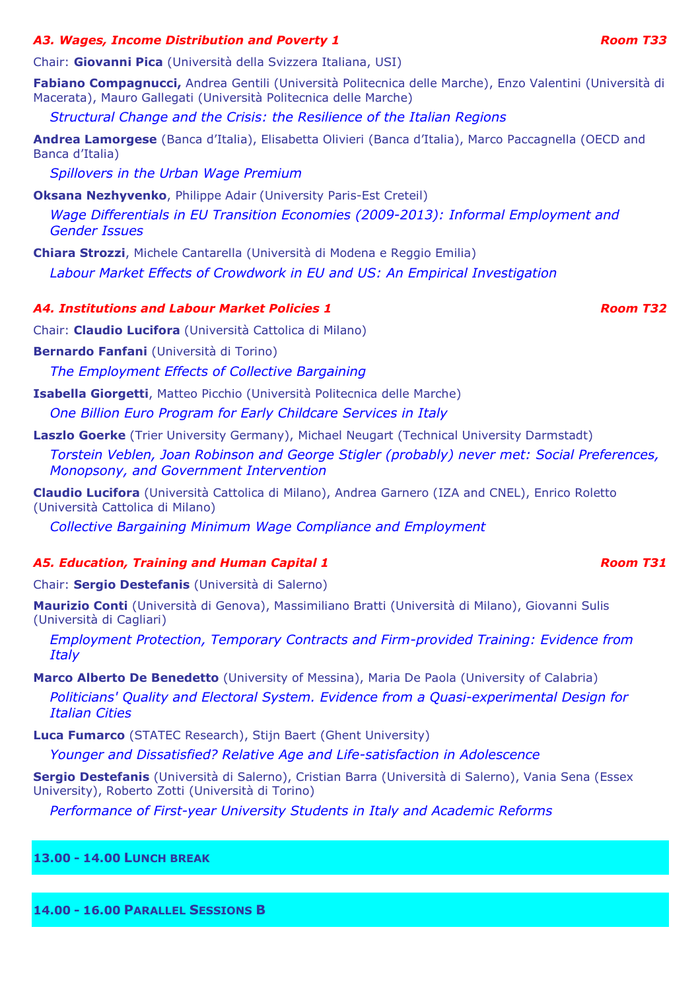# *A3. Wages, Income Distribution and Poverty 1*  $\rho$  *Room T33 Room T33*

Chair: **Giovanni Pica** (Università della Svizzera Italiana, USI)

**Fabiano Compagnucci,** Andrea Gentili (Università Politecnica delle Marche), Enzo Valentini (Università di Macerata), Mauro Gallegati (Università Politecnica delle Marche)

*Structural Change and the Crisis: the Resilience of the Italian Regions* 

**Andrea Lamorgese** (Banca d'Italia), Elisabetta Olivieri (Banca d'Italia), Marco Paccagnella (OECD and Banca d'Italia)

*Spillovers in the Urban Wage Premium* 

**Oksana Nezhyvenko**, Philippe Adair (University Paris-Est Creteil)

*Wage Differentials in EU Transition Economies (2009-2013): Informal Employment and Gender Issues* 

**Chiara Strozzi**, Michele Cantarella (Università di Modena e Reggio Emilia) *Labour Market Effects of Crowdwork in EU and US: An Empirical Investigation* 

# *A4. Institutions and Labour Market Policies 1 Room T32*

Chair: **Claudio Lucifora** (Università Cattolica di Milano)

**Bernardo Fanfani** (Università di Torino)

*The Employment Effects of Collective Bargaining* 

**Isabella Giorgetti**, Matteo Picchio (Università Politecnica delle Marche) *One Billion Euro Program for Early Childcare Services in Italy* 

**Laszlo Goerke** (Trier University Germany), Michael Neugart (Technical University Darmstadt)

*Torstein Veblen, Joan Robinson and George Stigler (probably) never met: Social Preferences, Monopsony, and Government Intervention* 

**Claudio Lucifora** (Università Cattolica di Milano), Andrea Garnero (IZA and CNEL), Enrico Roletto (Università Cattolica di Milano)

*Collective Bargaining Minimum Wage Compliance and Employment* 

# A5. Education, Training and Human Capital 1 and the state of the Room T31 **Room T31**

Chair: **Sergio Destefanis** (Università di Salerno)

**Maurizio Conti** (Università di Genova), Massimiliano Bratti (Università di Milano), Giovanni Sulis (Università di Cagliari)

*Employment Protection, Temporary Contracts and Firm-provided Training: Evidence from Italy* 

**Marco Alberto De Benedetto** (University of Messina), Maria De Paola (University of Calabria) *Politicians' Quality and Electoral System. Evidence from a Quasi-experimental Design for Italian Cities* 

**Luca Fumarco** (STATEC Research), Stijn Baert (Ghent University) *Younger and Dissatisfied? Relative Age and Life-satisfaction in Adolescence* 

**Sergio Destefanis** (Università di Salerno), Cristian Barra (Università di Salerno), Vania Sena (Essex University), Roberto Zotti (Università di Torino)

*Performance of First-year University Students in Italy and Academic Reforms* 

# **13.00 - 14.00 LUNCH BREAK**

**14.00 - 16.00 PARALLEL SESSIONS B**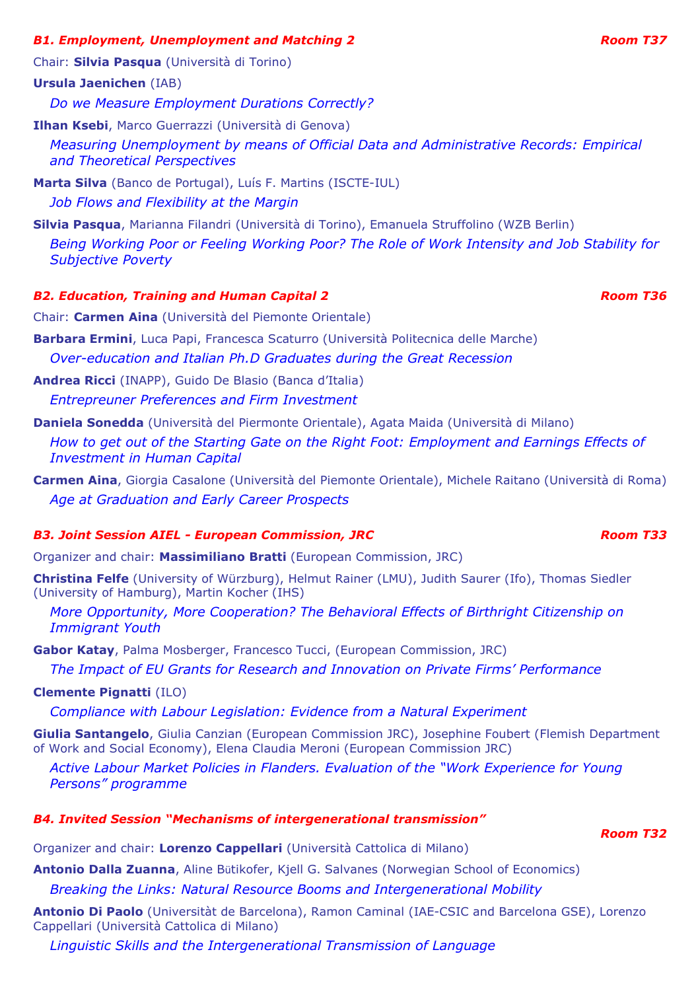# *B1. Employment, Unemployment and Matching 2* Room 737 *Room T37*

Chair: **Silvia Pasqua** (Università di Torino)

# **Ursula Jaenichen** (IAB)

*Do we Measure Employment Durations Correctly?* 

**Ilhan Ksebi**, Marco Guerrazzi (Università di Genova)

*Measuring Unemployment by means of Official Data and Administrative Records: Empirical and Theoretical Perspectives* 

**Marta Silva** (Banco de Portugal), Luís F. Martins (ISCTE-IUL)

*Job Flows and Flexibility at the Margin* 

**Silvia Pasqua**, Marianna Filandri (Università di Torino), Emanuela Struffolino (WZB Berlin)

*Being Working Poor or Feeling Working Poor? The Role of Work Intensity and Job Stability for Subjective Poverty* 

# *B2. Education, Training and Human Capital 2* and *Room T36 Room T36*

Chair: **Carmen Aina** (Università del Piemonte Orientale)

**Barbara Ermini**, Luca Papi, Francesca Scaturro (Università Politecnica delle Marche) *Over-education and Italian Ph.D Graduates during the Great Recession* 

**Andrea Ricci** (INAPP), Guido De Blasio (Banca d'Italia)

*Entrepreuner Preferences and Firm Investment* 

**Daniela Sonedda** (Università del Piermonte Orientale), Agata Maida (Università di Milano) *How to get out of the Starting Gate on the Right Foot: Employment and Earnings Effects of Investment in Human Capital* 

**Carmen Aina**, Giorgia Casalone (Università del Piemonte Orientale), Michele Raitano (Università di Roma) *Age at Graduation and Early Career Prospects* 

# *B3. Joint Session AIEL - European Commission, JRC* And Reading the Room T33 **Room T33**

Organizer and chair: **Massimiliano Bratti** (European Commission, JRC)

**Christina Felfe** (University of Würzburg), Helmut Rainer (LMU), Judith Saurer (Ifo), Thomas Siedler (University of Hamburg), Martin Kocher (IHS)

*More Opportunity, More Cooperation? The Behavioral Effects of Birthright Citizenship on Immigrant Youth* 

**Gabor Katay**, Palma Mosberger, Francesco Tucci, (European Commission, JRC)

*The Impact of EU Grants for Research and Innovation on Private Firms' Performance* 

# **Clemente Pignatti** (ILO)

*Compliance with Labour Legislation: Evidence from a Natural Experiment* 

**Giulia Santangelo**, Giulia Canzian (European Commission JRC), Josephine Foubert (Flemish Department of Work and Social Economy), Elena Claudia Meroni (European Commission JRC)

*Active Labour Market Policies in Flanders. Evaluation of the "Work Experience for Young Persons" programme*

# *B4. Invited Session "Mechanisms of intergenerational transmission"*

Organizer and chair: **Lorenzo Cappellari** (Università Cattolica di Milano)

**Antonio Dalla Zuanna**, Aline Bütikofer, Kjell G. Salvanes (Norwegian School of Economics)

*Breaking the Links: Natural Resource Booms and Intergenerational Mobility* 

**Antonio Di Paolo** (Universitàt de Barcelona), Ramon Caminal (IAE-CSIC and Barcelona GSE), Lorenzo Cappellari (Università Cattolica di Milano)

*Linguistic Skills and the Intergenerational Transmission of Language* 

*Room T32*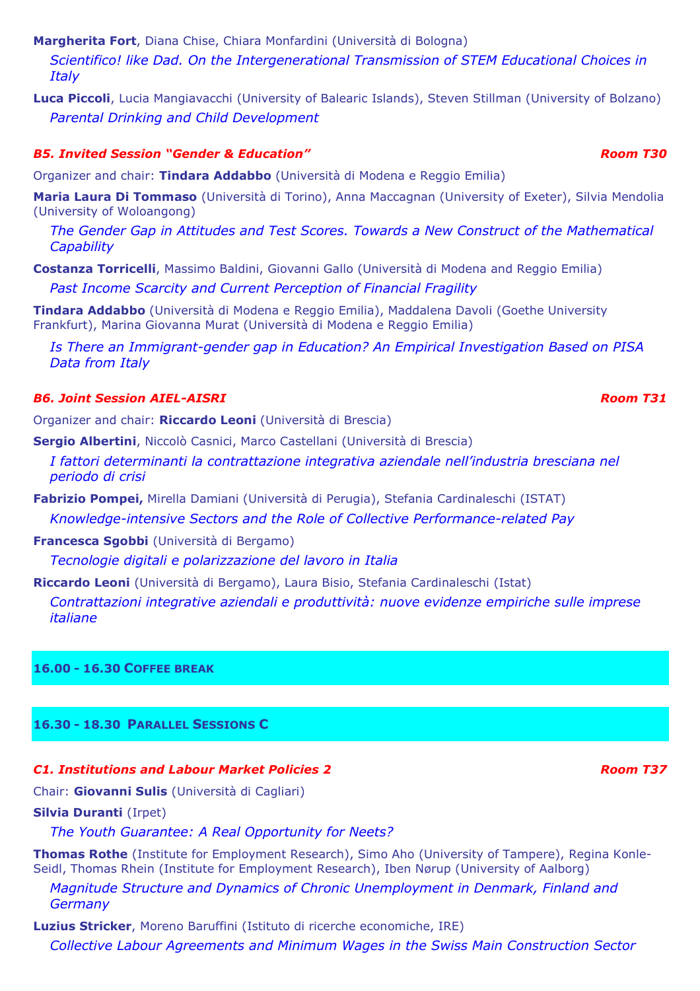**Margherita Fort**, Diana Chise, Chiara Monfardini (Università di Bologna)

*Scientifico! like Dad. On the Intergenerational Transmission of STEM Educational Choices in Italy* 

**Luca Piccoli**, Lucia Mangiavacchi (University of Balearic Islands), Steven Stillman (University of Bolzano) *Parental Drinking and Child Development* 

## *B5. Invited Session "Gender & Education" Room T30*

Organizer and chair: **Tindara Addabbo** (Università di Modena e Reggio Emilia)

**Maria Laura Di Tommaso** (Università di Torino), Anna Maccagnan (University of Exeter), Silvia Mendolia (University of Woloangong)

*The Gender Gap in Attitudes and Test Scores. Towards a New Construct of the Mathematical Capability* 

**Costanza Torricelli**, Massimo Baldini, Giovanni Gallo (Università di Modena and Reggio Emilia) *Past Income Scarcity and Current Perception of Financial Fragility* 

**Tindara Addabbo** (Università di Modena e Reggio Emilia), Maddalena Davoli (Goethe University Frankfurt), Marina Giovanna Murat (Università di Modena e Reggio Emilia)

*Is There an Immigrant-gender gap in Education? An Empirical Investigation Based on PISA Data from Italy* 

## *B6. Joint Session AIEL-AISRI Room T31*

Organizer and chair: **Riccardo Leoni** (Università di Brescia)

**Sergio Albertini**, Niccolò Casnici, Marco Castellani (Università di Brescia)

- *I fattori determinanti la contrattazione integrativa aziendale nell'industria bresciana nel periodo di crisi*
- **Fabrizio Pompei,** Mirella Damiani (Università di Perugia), Stefania Cardinaleschi (ISTAT) *Knowledge-intensive Sectors and the Role of Collective Performance-related Pay*

**Francesca Sgobbi** (Università di Bergamo)

*Tecnologie digitali e polarizzazione del lavoro in Italia*

**Riccardo Leoni** (Università di Bergamo), Laura Bisio, Stefania Cardinaleschi (Istat) *Contrattazioni integrative aziendali e produttività: nuove evidenze empiriche sulle imprese italiane* 

**16.00 - 16.30 COFFEE BREAK** 

# **16.30 - 18.30 PARALLEL SESSIONS C**

#### *C1. Institutions and Labour Market Policies 2 Room T37*

Chair: **Giovanni Sulis** (Università di Cagliari)

### **Silvia Duranti** (Irpet)

*The Youth Guarantee: A Real Opportunity for Neets?* 

**Thomas Rothe** (Institute for Employment Research), Simo Aho (University of Tampere), Regina Konle-Seidl, Thomas Rhein (Institute for Employment Research), Iben Nørup (University of Aalborg)

*Magnitude Structure and Dynamics of Chronic Unemployment in Denmark, Finland and Germany* 

**Luzius Stricker**, Moreno Baruffini (Istituto di ricerche economiche, IRE) *Collective Labour Agreements and Minimum Wages in the Swiss Main Construction Sector*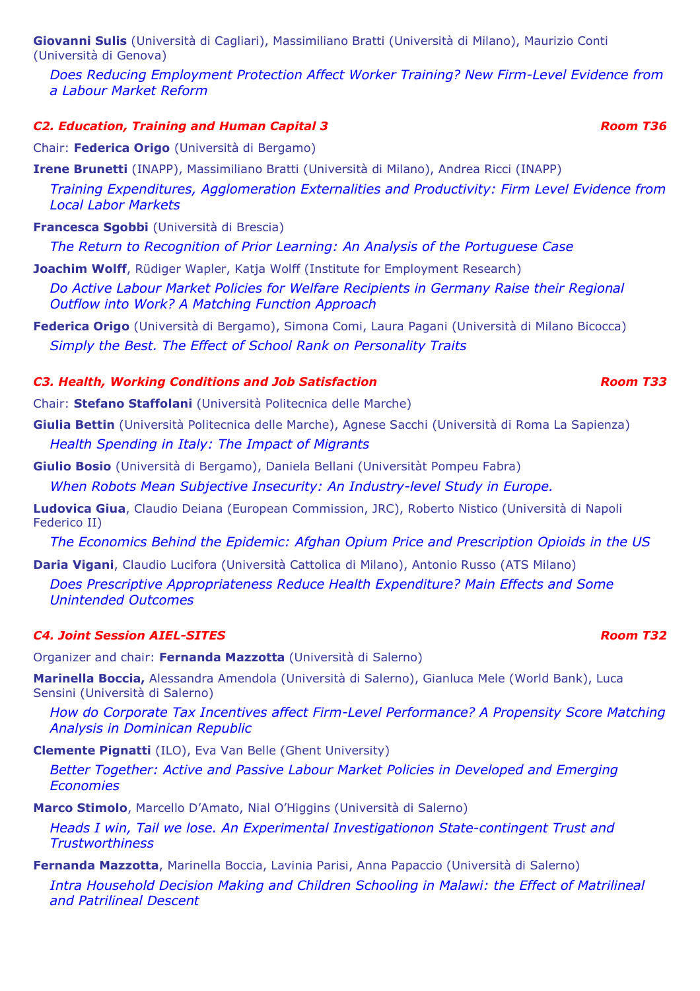**Giovanni Sulis** (Università di Cagliari), Massimiliano Bratti (Università di Milano), Maurizio Conti (Università di Genova)

*Does Reducing Employment Protection Affect Worker Training? New Firm-Level Evidence from a Labour Market Reform* 

## *C2. Education, Training and Human Capital 3 Room T36*

Chair: **Federica Origo** (Università di Bergamo)

**Irene Brunetti** (INAPP), Massimiliano Bratti (Università di Milano), Andrea Ricci (INAPP)

*Training Expenditures, Agglomeration Externalities and Productivity: Firm Level Evidence from Local Labor Markets* 

**Francesca Sgobbi** (Università di Brescia)

*The Return to Recognition of Prior Learning: An Analysis of the Portuguese Case* 

**Joachim Wolff**, Rüdiger Wapler, Katja Wolff (Institute for Employment Research)

*Do Active Labour Market Policies for Welfare Recipients in Germany Raise their Regional Outflow into Work? A Matching Function Approach* 

**Federica Origo** (Università di Bergamo), Simona Comi, Laura Pagani (Università di Milano Bicocca) *Simply the Best. The Effect of School Rank on Personality Traits* 

# *C3. Health, Working Conditions and Job Satisfaction* **Research American** Room T33

Chair: **Stefano Staffolani** (Università Politecnica delle Marche)

**Giulia Bettin** (Università Politecnica delle Marche), Agnese Sacchi (Università di Roma La Sapienza) *Health Spending in Italy: The Impact of Migrants* 

**Giulio Bosio** (Università di Bergamo), Daniela Bellani (Universitàt Pompeu Fabra) *When Robots Mean Subjective Insecurity: An Industry-level Study in Europe.* 

**Ludovica Giua**, Claudio Deiana (European Commission, JRC), Roberto Nistico (Università di Napoli Federico II)

*The Economics Behind the Epidemic: Afghan Opium Price and Prescription Opioids in the US* 

**Daria Vigani**, Claudio Lucifora (Università Cattolica di Milano), Antonio Russo (ATS Milano) *Does Prescriptive Appropriateness Reduce Health Expenditure? Main Effects and Some Unintended Outcomes*

## *C4. Joint Session AIEL-SITES Room T32*

Organizer and chair: **Fernanda Mazzotta** (Università di Salerno)

**Marinella Boccia,** Alessandra Amendola (Università di Salerno), Gianluca Mele (World Bank), Luca Sensini (Università di Salerno)

*How do Corporate Tax Incentives affect Firm-Level Performance? A Propensity Score Matching Analysis in Dominican Republic* 

**Clemente Pignatti** (ILO), Eva Van Belle (Ghent University)

*Better Together: Active and Passive Labour Market Policies in Developed and Emerging Economies* 

**Marco Stimolo**, Marcello D'Amato, Nial O'Higgins (Università di Salerno)

*Heads I win, Tail we lose. An Experimental Investigationon State-contingent Trust and Trustworthiness* 

**Fernanda Mazzotta**, Marinella Boccia, Lavinia Parisi, Anna Papaccio (Università di Salerno) *Intra Household Decision Making and Children Schooling in Malawi: the Effect of Matrilineal and Patrilineal Descent*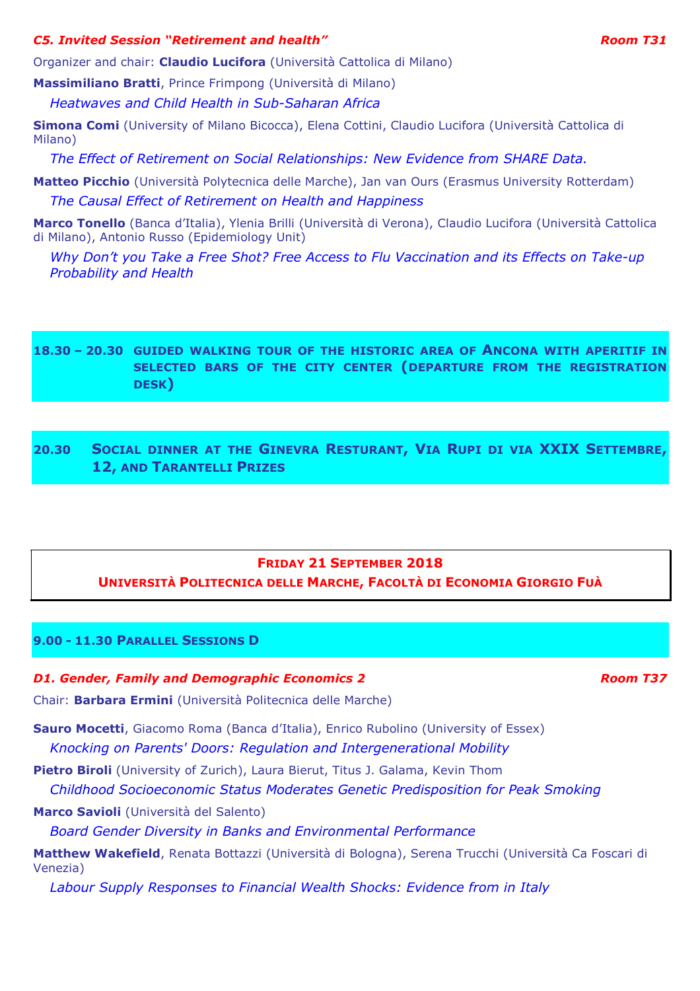### *C5. Invited Session "Retirement and health" Room T31*

Organizer and chair: **Claudio Lucifora** (Università Cattolica di Milano)

**Massimiliano Bratti**, Prince Frimpong (Università di Milano)

*Heatwaves and Child Health in Sub-Saharan Africa* 

**Simona Comi** (University of Milano Bicocca), Elena Cottini, Claudio Lucifora (Università Cattolica di Milano)

*The Effect of Retirement on Social Relationships: New Evidence from SHARE Data.* 

**Matteo Picchio** (Università Polytecnica delle Marche), Jan van Ours (Erasmus University Rotterdam)

*The Causal Effect of Retirement on Health and Happiness* 

**Marco Tonello** (Banca d'Italia), Ylenia Brilli (Università di Verona), Claudio Lucifora (Università Cattolica di Milano), Antonio Russo (Epidemiology Unit)

*Why Don't you Take a Free Shot? Free Access to Flu Vaccination and its Effects on Take-up Probability and Health* 

# **18.30 – 20.30 GUIDED WALKING TOUR OF THE HISTORIC AREA OF ANCONA WITH APERITIF IN SELECTED BARS OF THE CITY CENTER (DEPARTURE FROM THE REGISTRATION DESK)**

**20.30 SOCIAL DINNER AT THE GINEVRA RESTURANT, VIA RUPI DI VIA XXIX SETTEMBRE, 12, AND TARANTELLI PRIZES**

# **FRIDAY 21 SEPTEMBER 2018 UNIVERSITÀ POLITECNICA DELLE MARCHE, FACOLTÀ DI ECONOMIA GIORGIO FUÀ**

# **9.00 - 11.30 PARALLEL SESSIONS D**

### *D1. Gender, Family and Demographic Economics 2* and *Room T37 Room T37*

Chair: **Barbara Ermini** (Università Politecnica delle Marche)

**Sauro Mocetti**, Giacomo Roma (Banca d'Italia), Enrico Rubolino (University of Essex) *Knocking on Parents' Doors: Regulation and Intergenerational Mobility* 

**Pietro Biroli** (University of Zurich), Laura Bierut, Titus J. Galama, Kevin Thom

*Childhood Socioeconomic Status Moderates Genetic Predisposition for Peak Smoking* 

**Marco Savioli** (Università del Salento)

*Board Gender Diversity in Banks and Environmental Performance* 

**Matthew Wakefield**, Renata Bottazzi (Università di Bologna), Serena Trucchi (Università Ca Foscari di Venezia)

*Labour Supply Responses to Financial Wealth Shocks: Evidence from in Italy*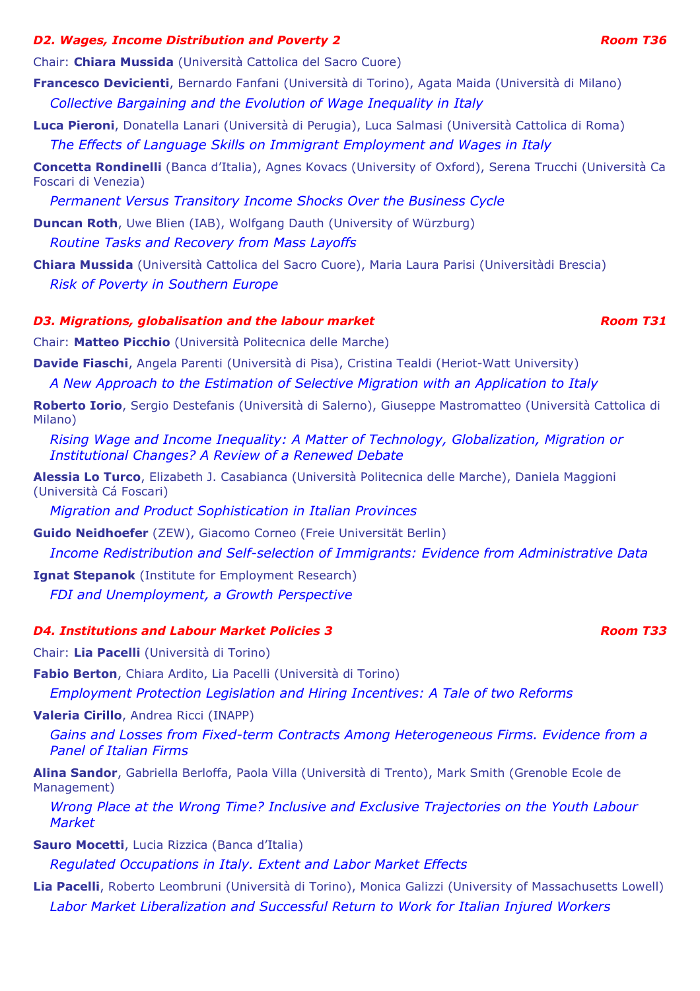### *D2. Wages, Income Distribution and Poverty 2* Application and *Poverty 2* Room 736 *Room T36*

Chair: **Chiara Mussida** (Università Cattolica del Sacro Cuore)

**Francesco Devicienti**, Bernardo Fanfani (Università di Torino), Agata Maida (Università di Milano) *Collective Bargaining and the Evolution of Wage Inequality in Italy* 

**Luca Pieroni**, Donatella Lanari (Università di Perugia), Luca Salmasi (Università Cattolica di Roma) *The Effects of Language Skills on Immigrant Employment and Wages in Italy* 

**Concetta Rondinelli** (Banca d'Italia), Agnes Kovacs (University of Oxford), Serena Trucchi (Università Ca Foscari di Venezia)

*Permanent Versus Transitory Income Shocks Over the Business Cycle* 

**Duncan Roth**, Uwe Blien (IAB), Wolfgang Dauth (University of Würzburg) *Routine Tasks and Recovery from Mass Layoffs* 

**Chiara Mussida** (Università Cattolica del Sacro Cuore), Maria Laura Parisi (Universitàdi Brescia) *Risk of Poverty in Southern Europe* 

# *D3. Migrations, globalisation and the labour market Room T31 Room T31*

Chair: **Matteo Picchio** (Università Politecnica delle Marche)

**Davide Fiaschi**, Angela Parenti (Università di Pisa), Cristina Tealdi (Heriot-Watt University)

*A New Approach to the Estimation of Selective Migration with an Application to Italy* 

**Roberto Iorio**, Sergio Destefanis (Università di Salerno), Giuseppe Mastromatteo (Università Cattolica di Milano)

*Rising Wage and Income Inequality: A Matter of Technology, Globalization, Migration or Institutional Changes? A Review of a Renewed Debate*

**Alessia Lo Turco**, Elizabeth J. Casabianca (Università Politecnica delle Marche), Daniela Maggioni (Università Cá Foscari)

*Migration and Product Sophistication in Italian Provinces* 

**Guido Neidhoefer** (ZEW), Giacomo Corneo (Freie Universität Berlin)

*Income Redistribution and Self-selection of Immigrants: Evidence from Administrative Data* 

**Ignat Stepanok** (Institute for Employment Research) *FDI and Unemployment, a Growth Perspective* 

#### *D4. Institutions and Labour Market Policies 3 Room T33*

Chair: **Lia Pacelli** (Università di Torino)

**Fabio Berton**, Chiara Ardito, Lia Pacelli (Università di Torino)

*Employment Protection Legislation and Hiring Incentives: A Tale of two Reforms* 

**Valeria Cirillo**, Andrea Ricci (INAPP)

*Gains and Losses from Fixed-term Contracts Among Heterogeneous Firms. Evidence from a Panel of Italian Firms* 

**Alina Sandor**, Gabriella Berloffa, Paola Villa (Università di Trento), Mark Smith (Grenoble Ecole de Management)

*Wrong Place at the Wrong Time? Inclusive and Exclusive Trajectories on the Youth Labour Market* 

**Sauro Mocetti**, Lucia Rizzica (Banca d'Italia)

*Regulated Occupations in Italy. Extent and Labor Market Effects* 

**Lia Pacelli**, Roberto Leombruni (Università di Torino), Monica Galizzi (University of Massachusetts Lowell) *Labor Market Liberalization and Successful Return to Work for Italian Injured Workers*